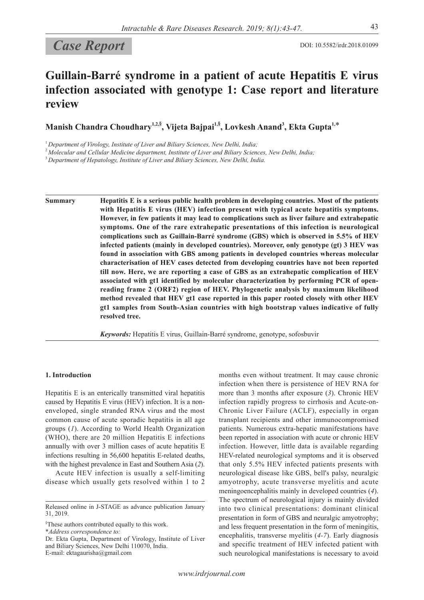# Case Report DOI: 10.5582/irdr.2018.01099

## **Guillain-Barré syndrome in a patient of acute Hepatitis E virus infection associated with genotype 1: Case report and literature review**

**Manish Chandra Choudhary1,2,§ , Vijeta Bajpai1,§ , Lovkesh Anand<sup>3</sup> , Ekta Gupta1,**\*

<sup>1</sup>*Department of Virology, Institute of Liver and Biliary Sciences, New Delhi, India;*

<sup>2</sup>*Molecular and Cellular Medicine department, Institute of Liver and Biliary Sciences, New Delhi, India;*

<sup>3</sup>*Department of Hepatology, Institute of Liver and Biliary Sciences, New Delhi, India.*

**Summary Hepatitis E is a serious public health problem in developing countries. Most of the patients with Hepatitis E virus (HEV) infection present with typical acute hepatitis symptoms. However, in few patients it may lead to complications such as liver failure and extrahepatic symptoms. One of the rare extrahepatic presentations of this infection is neurological complications such as Guillain-Barré syndrome (GBS) which is observed in 5.5% of HEV infected patients (mainly in developed countries). Moreover, only genotype (gt) 3 HEV was found in association with GBS among patients in developed countries whereas molecular characterisation of HEV cases detected from developing countries have not been reported till now. Here, we are reporting a case of GBS as an extrahepatic complication of HEV associated with gt1 identified by molecular characterization by performing PCR of openreading frame 2 (ORF2) region of HEV. Phylogenetic analysis by maximum likelihood method revealed that HEV gt1 case reported in this paper rooted closely with other HEV gt1 samples from South-Asian countries with high bootstrap values indicative of fully resolved tree.**

*Keywords:* Hepatitis E virus, Guillain-Barré syndrome, genotype, sofosbuvir

#### **1. Introduction**

Hepatitis E is an enterically transmitted viral hepatitis caused by Hepatitis E virus (HEV) infection. It is a nonenveloped, single stranded RNA virus and the most common cause of acute sporadic hepatitis in all age groups (*1*). According to World Health Organization (WHO), there are 20 million Hepatitis E infections annually with over 3 million cases of acute hepatitis E infections resulting in 56,600 hepatitis E-related deaths, with the highest prevalence in East and Southern Asia (*2*).

Acute HEV infection is usually a self-limiting disease which usually gets resolved within 1 to 2

\**Address correspondence to:*

months even without treatment. It may cause chronic infection when there is persistence of HEV RNA for more than 3 months after exposure (*3*). Chronic HEV infection rapidly progress to cirrhosis and Acute-on-Chronic Liver Failure (ACLF), especially in organ transplant recipients and other immunocompromised patients. Numerous extra-hepatic manifestations have been reported in association with acute or chronic HEV infection. However, little data is available regarding HEV-related neurological symptoms and it is observed that only 5.5% HEV infected patients presents with neurological disease like GBS, bell's palsy, neuralgic amyotrophy, acute transverse myelitis and acute meningoencephalitis mainly in developed countries (*4*). The spectrum of neurological injury is mainly divided into two clinical presentations: dominant clinical presentation in form of GBS and neuralgic amyotrophy; and less frequent presentation in the form of meningitis, encephalitis, transverse myelitis (*4-7*). Early diagnosis and specific treatment of HEV infected patient with such neurological manifestations is necessary to avoid

Released online in J-STAGE as advance publication January 31, 2019.

<sup>§</sup> These authors contributed equally to this work.

Dr. Ekta Gupta, Department of Virology, Institute of Liver and Biliary Sciences, New Delhi 110070, India. E-mail: ektagaurisha@gmail.com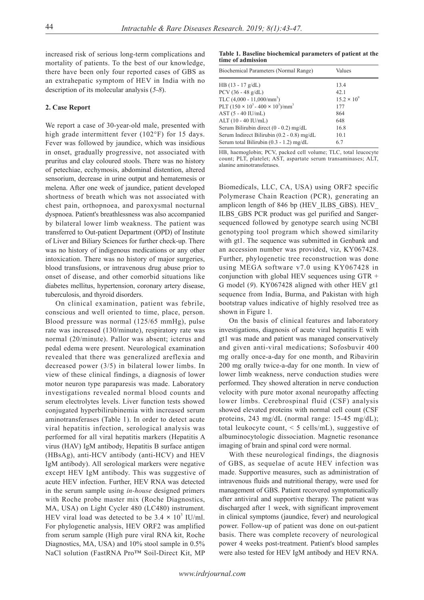increased risk of serious long-term complications and mortality of patients. To the best of our knowledge, there have been only four reported cases of GBS as an extrahepatic symptom of HEV in India with no description of its molecular analysis (*5-8*).

## **2. Case Report**

We report a case of 30-year-old male, presented with high grade intermittent fever (102°F) for 15 days. Fever was followed by jaundice, which was insidious in onset, gradually progressive, not associated with pruritus and clay coloured stools. There was no history of petechiae, ecchymosis, abdominal distention, altered sensorium, decrease in urine output and hematemesis or melena. After one week of jaundice, patient developed shortness of breath which was not associated with chest pain, orthopnoea, and paroxysmal nocturnal dyspnoea. Patient's breathlessness was also accompanied by bilateral lower limb weakness. The patient was transferred to Out-patient Department (OPD) of Institute of Liver and Biliary Sciences for further check-up. There was no history of indigenous medications or any other intoxication. There was no history of major surgeries, blood transfusions, or intravenous drug abuse prior to onset of disease, and other comorbid situations like diabetes mellitus, hypertension, coronary artery disease, tuberculosis, and thyroid disorders.

On clinical examination, patient was febrile, conscious and well oriented to time, place, person. Blood pressure was normal (125/65 mmHg), pulse rate was increased (130/minute), respiratory rate was normal (20/minute). Pallor was absent; icterus and pedal edema were present. Neurological examination revealed that there was generalized areflexia and decreased power (3/5) in bilateral lower limbs. In view of these clinical findings, a diagnosis of lower motor neuron type paraparesis was made. Laboratory investigations revealed normal blood counts and serum electrolytes levels. Liver function tests showed conjugated hyperbilirubinemia with increased serum aminotransferases (Table 1). In order to detect acute viral hepatitis infection, serological analysis was performed for all viral hepatitis markers (Hepatitis A virus (HAV) IgM antibody, Hepatitis B surface antigen (HBsAg), anti-HCV antibody (anti-HCV) and HEV IgM antibody). All serological markers were negative except HEV IgM antibody. This was suggestive of acute HEV infection. Further, HEV RNA was detected in the serum sample using *in-house* designed primers with Roche probe master mix (Roche Diagnostics, MA, USA) on Light Cycler 480 (LC480) instrument. HEV viral load was detected to be  $3.4 \times 10^3$  IU/ml. For phylogenetic analysis, HEV ORF2 was amplified from serum sample (High pure viral RNA kit, Roche Diagnostics, MA, USA) and 10% stool sample in 0.5% NaCl solution (FastRNA Pro™ Soil-Direct Kit, MP

**Table 1. Baseline biochemical parameters of patient at the time of admission**

| Biochemical Parameters (Normal Range)                      | Values               |  |
|------------------------------------------------------------|----------------------|--|
| HB $(13 - 17 \text{ g/dL})$                                | 13.4                 |  |
| PCV $(36 - 48 \text{ g/dL})$                               | 42.1                 |  |
| TLC $(4,000 - 11,000/mm^3)$                                | $15.2 \times 10^{9}$ |  |
| PLT $(150 \times 10^3 - 400 \times 10^3)/$ mm <sup>3</sup> | 177                  |  |
| $AST (5 - 40 IU/mL)$                                       | 864                  |  |
| $ALT(10 - 40 IU/mL)$                                       | 648                  |  |
| Serum Bilirubin direct $(0 - 0.2)$ mg/dL                   | 16.8                 |  |
| Serum Indirect Bilirubin (0.2 - 0.8) mg/dL                 | 10.1                 |  |
| Serum total Bilirubin (0.3 - 1.2) mg/dL                    | 6.7                  |  |

HB, haemoglobin; PCV, packed cell volume; TLC, total leucocyte count; PLT, platelet; AST, aspartate serum transaminases; ALT, alanine aminotransferases.

Biomedicals, LLC, CA, USA) using ORF2 specific Polymerase Chain Reaction (PCR), generating an amplicon length of 846 bp (HEV\_ILBS\_GBS). HEV\_ ILBS\_GBS PCR product was gel purified and Sangersequenced followed by genotype search using NCBI genotyping tool program which showed similarity with gt1. The sequence was submitted in Genbank and an accession number was provided, viz, KY067428. Further, phylogenetic tree reconstruction was done using MEGA software v7.0 using KY067428 in conjunction with global HEV sequences using GTR + G model (*9*). KY067428 aligned with other HEV gt1 sequence from India, Burma, and Pakistan with high bootstrap values indicative of highly resolved tree as shown in Figure 1.

On the basis of clinical features and laboratory investigations, diagnosis of acute viral hepatitis E with gt1 was made and patient was managed conservatively and given anti-viral medications; Sofosbuvir 400 mg orally once-a-day for one month, and Ribavirin 200 mg orally twice-a-day for one month. In view of lower limb weakness, nerve conduction studies were performed. They showed alteration in nerve conduction velocity with pure motor axonal neuropathy affecting lower limbs. Cerebrospinal fluid (CSF) analysis showed elevated proteins with normal cell count (CSF proteins, 243 mg/dL (normal range: 15-45 mg/dL); total leukocyte count, < 5 cells/mL), suggestive of albuminocytologic dissociation. Magnetic resonance imaging of brain and spinal cord were normal.

With these neurological findings, the diagnosis of GBS, as sequelae of acute HEV infection was made. Supportive measures, such as administration of intravenous fluids and nutritional therapy, were used for management of GBS. Patient recovered symptomatically after antiviral and supportive therapy. The patient was discharged after 1 week, with significant improvement in clinical symptoms (jaundice, fever) and neurological power. Follow-up of patient was done on out-patient basis. There was complete recovery of neurological power 4 weeks post-treatment. Patient's blood samples were also tested for HEV IgM antibody and HEV RNA.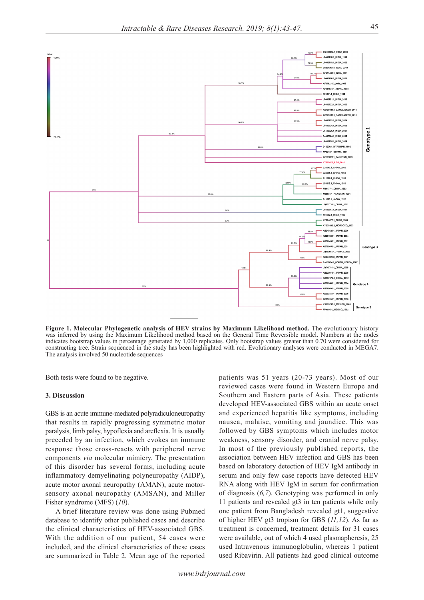

**Figure 1. Molecular Phylogenetic analysis of HEV strains by Maximum Likelihood method.** The evolutionary history was inferred by using the Maximum Likelihood method based on the General Time Reversible model. Numbers at the nodes indicates bootstrap values in percentage generated by 1,000 replicates. Only bootstrap values greater than 0.70 were considered for constructing tree. Strain sequenced in the study has been highlighted with red. Evolutionary analyses were conducted in MEGA7. The analysis involved 50 nucleotide sequences

Both tests were found to be negative.

### **3. Discussion**

GBS is an acute immune-mediated polyradiculoneuropathy that results in rapidly progressing symmetric motor paralysis, limb palsy, hypoflexia and areflexia. It is usually preceded by an infection, which evokes an immune response those cross-reacts with peripheral nerve components *via* molecular mimicry. The presentation of this disorder has several forms, including acute inflammatory demyelinating polyneuropathy (AIDP), acute motor axonal neuropathy (AMAN), acute motorsensory axonal neuropathy (AMSAN), and Miller Fisher syndrome (MFS) (*10*).

A brief literature review was done using Pubmed database to identify other published cases and describe the clinical characteristics of HEV-associated GBS. With the addition of our patient, 54 cases were included, and the clinical characteristics of these cases are summarized in Table 2. Mean age of the reported

patients was 51 years (20-73 years). Most of our reviewed cases were found in Western Europe and Southern and Eastern parts of Asia. These patients developed HEV-associated GBS within an acute onset and experienced hepatitis like symptoms, including nausea, malaise, vomiting and jaundice. This was followed by GBS symptoms which includes motor weakness, sensory disorder, and cranial nerve palsy. In most of the previously published reports, the association between HEV infection and GBS has been based on laboratory detection of HEV IgM antibody in serum and only few case reports have detected HEV RNA along with HEV IgM in serum for confirmation of diagnosis (*6,7*). Genotyping was performed in only 11 patients and revealed gt3 in ten patients while only one patient from Bangladesh revealed gt1, suggestive of higher HEV gt3 tropism for GBS (*11,12*). As far as treatment is concerned, treatment details for 31 cases were available, out of which 4 used plasmapheresis, 25 used Intravenous immunoglobulin, whereas 1 patient used Ribavirin. All patients had good clinical outcome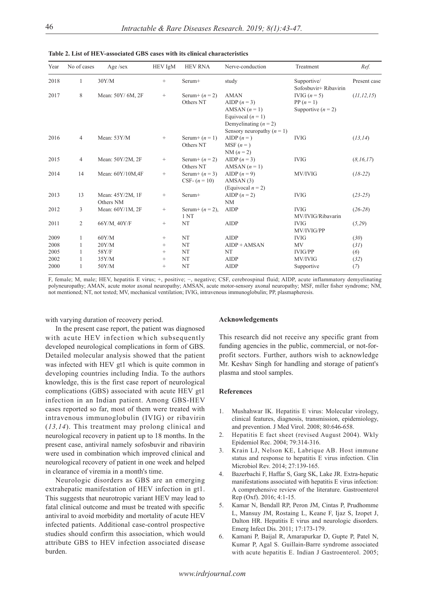| Year | No of cases    | Age /sex                      | HEV IgM                          | <b>HEV RNA</b>                        | Nerve-conduction                                                                                                               | Treatment                                         | Ref.         |
|------|----------------|-------------------------------|----------------------------------|---------------------------------------|--------------------------------------------------------------------------------------------------------------------------------|---------------------------------------------------|--------------|
| 2018 | 1              | 30Y/M                         | $\qquad \qquad +$                | Serum+                                | study                                                                                                                          | Supportive/<br>Sofosbuvir+ Ribavirin              | Present case |
| 2017 | 8              | Mean: 50Y/ 6M, 2F             | $\begin{array}{c} + \end{array}$ | Serum+ $(n = 2)$<br>Others NT         | <b>AMAN</b><br>AIDP $(n=3)$<br>AMSAN $(n=1)$<br>Equivocal $(n = 1)$<br>Demyelinating $(n = 2)$<br>Sensory neuropathy $(n = 1)$ | IVIG $(n=5)$<br>$PP(n=1)$<br>Supportive $(n = 2)$ | (11, 12, 15) |
| 2016 | $\overline{4}$ | Mean: 53Y/M                   | $^{+}$                           | Serum+ $(n = 1)$<br>Others NT         | AIDP $(n=)$<br>MSF $(n=)$<br>$NM(n=2)$                                                                                         | <b>IVIG</b>                                       | (13, 14)     |
| 2015 | $\overline{4}$ | Mean: 50Y/2M, 2F              | $\! + \!\!\!\!$                  | Serum+ $(n = 2)$<br>Others NT         | AIDP $(n=3)$<br>AMSAN $(n=1)$                                                                                                  | <b>IVIG</b>                                       | (8,16,17)    |
| 2014 | 14             | Mean: 60Y/10M,4F              | $\! + \!\!\!\!$                  | Serum+ $(n = 3)$<br>CSF- $(n = 10)$   | AIDP $(n = 9)$<br>AMSAN(3)<br>(Equivocal $n = 2$ )                                                                             | MV/IVIG                                           | $(18-22)$    |
| 2013 | 13             | Mean: 45Y/2M, 1F<br>Others NM | $^{+}$                           | Serum+                                | AIDP $(n=2)$<br>NM                                                                                                             | <b>IVIG</b>                                       | $(23-25)$    |
| 2012 | 3              | Mean: 60Y/1M, 2F              | $^{+}$                           | Serum+ $(n = 2)$ ,<br>1 <sub>NT</sub> | AIDP                                                                                                                           | <b>IVIG</b><br>MV/IVIG/Ribavarin                  | $(26-28)$    |
| 2011 | 2              | 66Y/M, 40Y/F                  | $\begin{array}{c} + \end{array}$ | NT                                    | <b>AIDP</b>                                                                                                                    | <b>IVIG</b><br>MV/IVIG/PP                         | (5,29)       |
| 2009 | $\mathbf{1}$   | 60Y/M                         | $^{+}$                           | NT                                    | <b>AIDP</b>                                                                                                                    | <b>IVIG</b>                                       | (30)         |
| 2008 |                | 20Y/M                         | $^{+}$                           | NT                                    | $AIDP + AMSAN$                                                                                                                 | <b>MV</b>                                         | (31)         |
| 2005 |                | 58Y/F                         | $^{+}$                           | NT                                    | NT                                                                                                                             | <b>IVIG/PP</b>                                    | (6)          |
| 2002 | 1              | 35Y/M                         | $\begin{array}{c} + \end{array}$ | NT                                    | <b>AIDP</b>                                                                                                                    | MV/IVIG                                           | (32)         |
| 2000 | 1              | 50Y/M                         | $^{+}$                           | NT                                    | <b>AIDP</b>                                                                                                                    | Supportive                                        | (7)          |

**Table 2. List of HEV-associated GBS cases with its clinical characteristics**

F, female; M, male; HEV, hepatitis E virus; +, positive; −, negative; CSF, cerebrospinal fluid; AIDP, acute inflammatory demyelinating polyneuropathy; AMAN, acute motor axonal neuropathy; AMSAN, acute motor-sensory axonal neuropathy; MSF, miller fisher syndrome; NM, not mentioned; NT, not tested; MV, mechanical ventilation; IVIG, intravenous immunoglobulin; PP, plasmapheresis.

with varying duration of recovery period.

In the present case report, the patient was diagnosed with acute HEV infection which subsequently developed neurological complications in form of GBS. Detailed molecular analysis showed that the patient was infected with HEV gt1 which is quite common in developing countries including India. To the authors knowledge, this is the first case report of neurological complications (GBS) associated with acute HEV gt1 infection in an Indian patient. Among GBS-HEV cases reported so far, most of them were treated with intravenous immunoglobulin (IVIG) or ribavirin (*13,14*). This treatment may prolong clinical and neurological recovery in patient up to 18 months. In the present case, antiviral namely sofosbuvir and ribavirin were used in combination which improved clinical and neurological recovery of patient in one week and helped in clearance of viremia in a month's time.

Neurologic disorders as GBS are an emerging extrahepatic manifestation of HEV infection in gt1. This suggests that neurotropic variant HEV may lead to fatal clinical outcome and must be treated with specific antiviral to avoid morbidity and mortality of acute HEV infected patients. Additional case-control prospective studies should confirm this association, which would attribute GBS to HEV infection associated disease burden.

#### **Acknowledgements**

This research did not receive any specific grant from funding agencies in the public, commercial, or not-forprofit sectors. Further, authors wish to acknowledge Mr. Keshav Singh for handling and storage of patient's plasma and stool samples.

### **References**

- 1. Mushahwar IK. Hepatitis E virus: Molecular virology, clinical features, diagnosis, transmission, epidemiology, and prevention. J Med Virol. 2008; 80:646-658.
- 2. Hepatitis E fact sheet (revised August 2004). Wkly Epidemiol Rec. 2004; 79:314-316.
- 3. Krain LJ, Nelson KE, Labrique AB. Host immune status and response to hepatitis E virus infection. Clin Microbiol Rev. 2014; 27:139-165.
- 4. Bazerbachi F, Haffar S, Garg SK, Lake JR. Extra-hepatic manifestations associated with hepatitis E virus infection: A comprehensive review of the literature. Gastroenterol Rep (Oxf). 2016; 4:1-15.
- 5. Kamar N, Bendall RP, Peron JM, Cintas P, Prudhomme L, Mansuy JM, Rostaing L, Keane F, Ijaz S, Izopet J, Dalton HR. Hepatitis E virus and neurologic disorders. Emerg Infect Dis. 2011; 17:173-179.
- 6. Kamani P, Baijal R, Amarapurkar D, Gupte P, Patel N, Kumar P, Agal S. Guillain-Barre syndrome associated with acute hepatitis E. Indian J Gastroenterol. 2005;